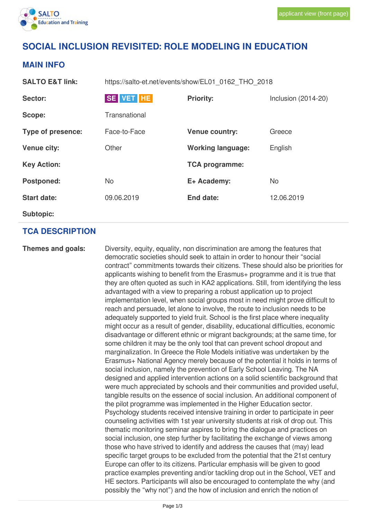

# **SOCIAL INCLUSION REVISITED: ROLE MODELING IN EDUCATION**

### **MAIN INFO**

**SALTO E&T link:** https://salto-et.net/events/show/EL01\_0162\_THO\_2018

| Sector:            | SE VET HE     | <b>Priority:</b>         | Inclusion $(2014-20)$ |
|--------------------|---------------|--------------------------|-----------------------|
| Scope:             | Transnational |                          |                       |
| Type of presence:  | Face-to-Face  | <b>Venue country:</b>    | Greece                |
| <b>Venue city:</b> | Other         | <b>Working language:</b> | English               |
| <b>Key Action:</b> |               | <b>TCA programme:</b>    |                       |
| <b>Postponed:</b>  | <b>No</b>     | E+ Academy:              | <b>No</b>             |
| <b>Start date:</b> | 09.06.2019    | <b>End date:</b>         | 12.06.2019            |
| <b>Subtopic:</b>   |               |                          |                       |

#### **TCA DESCRIPTION**

**Themes and goals:** Diversity, equity, equality, non discrimination are among the features that democratic societies should seek to attain in order to honour their "social contract" commitments towards their citizens. These should also be priorities for applicants wishing to benefit from the Erasmus+ programme and it is true that they are often quoted as such in KA2 applications. Still, from identifying the less advantaged with a view to preparing a robust application up to project implementation level, when social groups most in need might prove difficult to reach and persuade, let alone to involve, the route to inclusion needs to be adequately supported to yield fruit. School is the first place where inequality might occur as a result of gender, disability, educational difficulties, economic disadvantage or different ethnic or migrant backgrounds; at the same time, for some children it may be the only tool that can prevent school dropout and marginalization. In Greece the Role Models initiative was undertaken by the Erasmus+ National Agency merely because of the potential it holds in terms of social inclusion, namely the prevention of Early School Leaving. The NA designed and applied intervention actions on a solid scientific background that were much appreciated by schools and their communities and provided useful, tangible results on the essence of social inclusion. An additional component of the pilot programme was implemented in the Higher Education sector. Psychology students received intensive training in order to participate in peer counseling activities with 1st year university students at risk of drop out. This thematic monitoring seminar aspires to bring the dialogue and practices on social inclusion, one step further by facilitating the exchange of views among those who have strived to identify and address the causes that (may) lead specific target groups to be excluded from the potential that the 21st century Europe can offer to its citizens. Particular emphasis will be given to good practice examples preventing and/or tackling drop out in the School, VET and HE sectors. Participants will also be encouraged to contemplate the why (and possibly the "why not") and the how of inclusion and enrich the notion of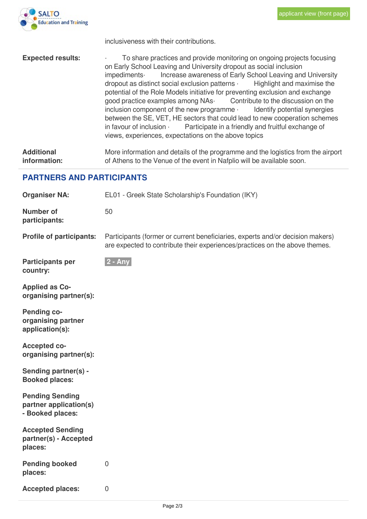

inclusiveness with their contributions.

**Expected results:** To share practices and provide monitoring on ongoing projects focusing on Early School Leaving and University dropout as social inclusion impediments· Increase awareness of Early School Leaving and University dropout as distinct social exclusion patterns · Highlight and maximise the potential of the Role Models initiative for preventing exclusion and exchange good practice examples among NAs· Contribute to the discussion on the inclusion component of the new programme · Identify potential synergies between the SE, VET, HE sectors that could lead to new cooperation schemes in favour of inclusion  $\cdot$  Participate in a friendly and fruitful exchange of views, experiences, expectations on the above topics **Additional information:** More information and details of the programme and the logistics from the airport of Athens to the Venue of the event in Nafplio will be available soon.

#### **PARTNERS AND PARTICIPANTS**

| <b>Organiser NA:</b>                                                 | EL01 - Greek State Scholarship's Foundation (IKY)                                                                                                             |  |  |
|----------------------------------------------------------------------|---------------------------------------------------------------------------------------------------------------------------------------------------------------|--|--|
| <b>Number of</b><br>participants:                                    | 50                                                                                                                                                            |  |  |
| <b>Profile of participants:</b>                                      | Participants (former or current beneficiaries, experts and/or decision makers)<br>are expected to contribute their experiences/practices on the above themes. |  |  |
| <b>Participants per</b><br>country:                                  | $ 2 - Any $                                                                                                                                                   |  |  |
| <b>Applied as Co-</b><br>organising partner(s):                      |                                                                                                                                                               |  |  |
| <b>Pending co-</b><br>organising partner<br>application(s):          |                                                                                                                                                               |  |  |
| <b>Accepted co-</b><br>organising partner(s):                        |                                                                                                                                                               |  |  |
| Sending partner(s) -<br><b>Booked places:</b>                        |                                                                                                                                                               |  |  |
| <b>Pending Sending</b><br>partner application(s)<br>- Booked places: |                                                                                                                                                               |  |  |
| <b>Accepted Sending</b><br>partner(s) - Accepted<br>places:          |                                                                                                                                                               |  |  |
| <b>Pending booked</b><br>places:                                     | $\overline{0}$                                                                                                                                                |  |  |
| <b>Accepted places:</b>                                              | $\overline{0}$                                                                                                                                                |  |  |